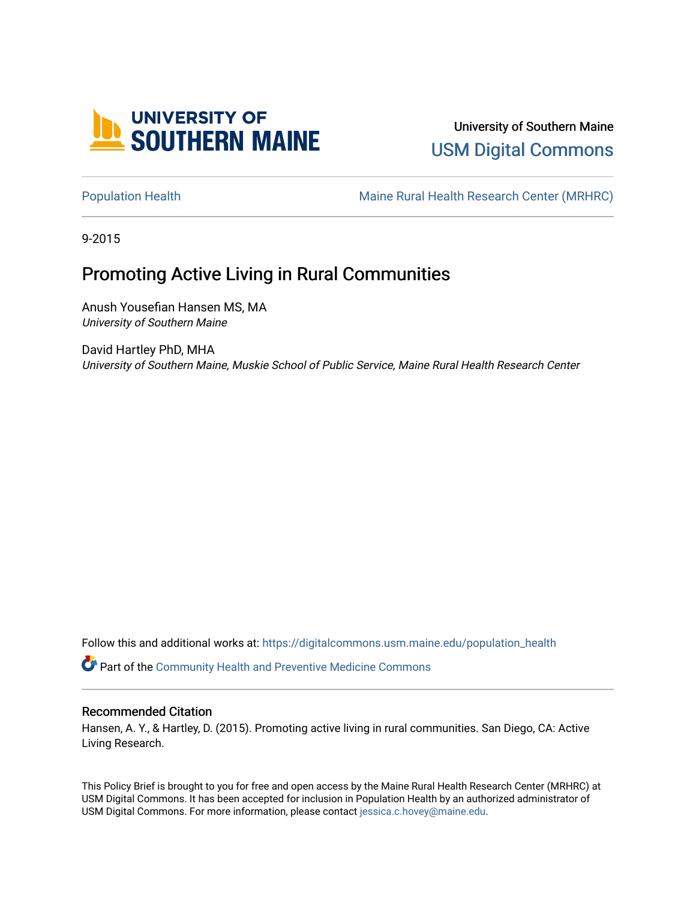

# University of Southern Maine [USM Digital Commons](https://digitalcommons.usm.maine.edu/)

[Population Health](https://digitalcommons.usm.maine.edu/population_health) Maine Rural Health Research Center (MRHRC)

9-2015

# Promoting Active Living in Rural Communities

Anush Yousefian Hansen MS, MA University of Southern Maine

David Hartley PhD, MHA University of Southern Maine, Muskie School of Public Service, Maine Rural Health Research Center

Follow this and additional works at: [https://digitalcommons.usm.maine.edu/population\\_health](https://digitalcommons.usm.maine.edu/population_health?utm_source=digitalcommons.usm.maine.edu%2Fpopulation_health%2F6&utm_medium=PDF&utm_campaign=PDFCoverPages) 

Part of the [Community Health and Preventive Medicine Commons](http://network.bepress.com/hgg/discipline/744?utm_source=digitalcommons.usm.maine.edu%2Fpopulation_health%2F6&utm_medium=PDF&utm_campaign=PDFCoverPages)

## Recommended Citation

Hansen, A. Y., & Hartley, D. (2015). Promoting active living in rural communities. San Diego, CA: Active Living Research.

This Policy Brief is brought to you for free and open access by the Maine Rural Health Research Center (MRHRC) at USM Digital Commons. It has been accepted for inclusion in Population Health by an authorized administrator of USM Digital Commons. For more information, please contact [jessica.c.hovey@maine.edu](mailto:ian.fowler@maine.edu).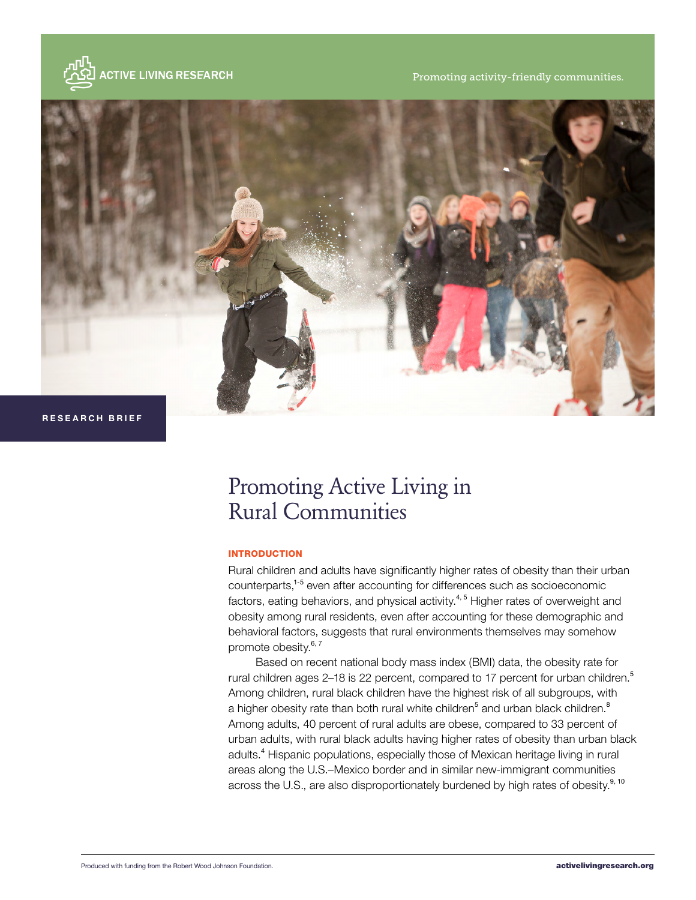

Promoting activity-friendly communities.



 **RESEARCH BRIEF**

# Promoting Active Living in Rural Communities

### INTRODUCTION

Rural children and adults have significantly higher rates of obesity than their urban counterparts,1-5 even after accounting for differences such as socioeconomic factors, eating behaviors, and physical activity.<sup>4, 5</sup> Higher rates of overweight and obesity among rural residents, even after accounting for these demographic and behavioral factors, suggests that rural environments themselves may somehow promote obesity.<sup>6, 7</sup>

Based on recent national body mass index (BMI) data, the obesity rate for rural children ages 2–18 is 22 percent, compared to 17 percent for urban children.<sup>5</sup> Among children, rural black children have the highest risk of all subgroups, with a higher obesity rate than both rural white children<sup>5</sup> and urban black children.<sup>8</sup> Among adults, 40 percent of rural adults are obese, compared to 33 percent of urban adults, with rural black adults having higher rates of obesity than urban black adults.<sup>4</sup> Hispanic populations, especially those of Mexican heritage living in rural areas along the U.S.–Mexico border and in similar new-immigrant communities across the U.S., are also disproportionately burdened by high rates of obesity.<sup>9, 10</sup>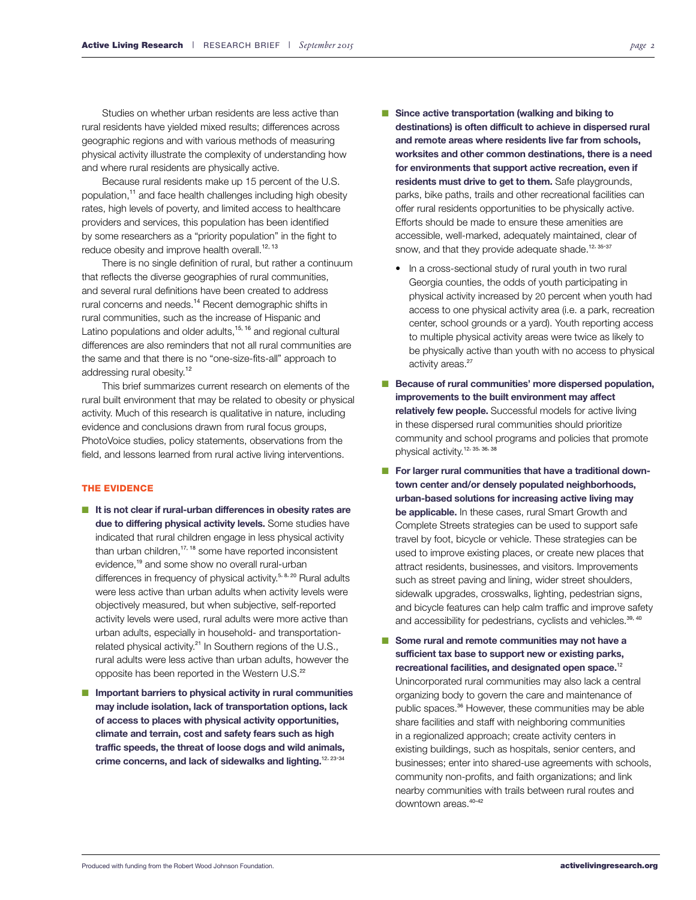Studies on whether urban residents are less active than rural residents have yielded mixed results; differences across geographic regions and with various methods of measuring physical activity illustrate the complexity of understanding how and where rural residents are physically active.

Because rural residents make up 15 percent of the U.S. population,<sup>11</sup> and face health challenges including high obesity rates, high levels of poverty, and limited access to healthcare providers and services, this population has been identified by some researchers as a "priority population" in the fight to reduce obesity and improve health overall.<sup>12, 13</sup>

There is no single definition of rural, but rather a continuum that reflects the diverse geographies of rural communities, and several rural definitions have been created to address rural concerns and needs.<sup>14</sup> Recent demographic shifts in rural communities, such as the increase of Hispanic and Latino populations and older adults, $15, 16$  and regional cultural differences are also reminders that not all rural communities are the same and that there is no "one-size-fits-all" approach to addressing rural obesity.<sup>12</sup>

This brief summarizes current research on elements of the rural built environment that may be related to obesity or physical activity. Much of this research is qualitative in nature, including evidence and conclusions drawn from rural focus groups, PhotoVoice studies, policy statements, observations from the field, and lessons learned from rural active living interventions.

#### THE EVIDENCE

- **It is not clear if rural-urban differences in obesity rates are due to differing physical activity levels.** Some studies have indicated that rural children engage in less physical activity than urban children, $17, 18$  some have reported inconsistent evidence,<sup>19</sup> and some show no overall rural-urban differences in frequency of physical activity.<sup>5, 8, 20</sup> Rural adults were less active than urban adults when activity levels were objectively measured, but when subjective, self-reported activity levels were used, rural adults were more active than urban adults, especially in household- and transportationrelated physical activity.<sup>21</sup> In Southern regions of the U.S., rural adults were less active than urban adults, however the opposite has been reported in the Western U.S.<sup>22</sup>
- **Important barriers to physical activity in rural communities may include isolation, lack of transportation options, lack of access to places with physical activity opportunities, climate and terrain, cost and safety fears such as high traffic speeds, the threat of loose dogs and wild animals, crime concerns, and lack of sidewalks and lighting.**12, 23-34
- Since active transportation (walking and biking to **destinations) is often difficult to achieve in dispersed rural and remote areas where residents live far from schools, worksites and other common destinations, there is a need for environments that support active recreation, even if residents must drive to get to them.** Safe playgrounds, parks, bike paths, trails and other recreational facilities can offer rural residents opportunities to be physically active. Efforts should be made to ensure these amenities are accessible, well-marked, adequately maintained, clear of snow, and that they provide adequate shade.<sup>12, 35-37</sup>
	- In a cross-sectional study of rural youth in two rural Georgia counties, the odds of youth participating in physical activity increased by 20 percent when youth had access to one physical activity area (i.e. a park, recreation center, school grounds or a yard). Youth reporting access to multiple physical activity areas were twice as likely to be physically active than youth with no access to physical activity areas.<sup>27</sup>
- **Because of rural communities' more dispersed population, improvements to the built environment may affect relatively few people.** Successful models for active living in these dispersed rural communities should prioritize community and school programs and policies that promote physical activity.12, 35, 36, 38
- For larger rural communities that have a traditional down**town center and/or densely populated neighborhoods, urban-based solutions for increasing active living may be applicable.** In these cases, rural Smart Growth and Complete Streets strategies can be used to support safe travel by foot, bicycle or vehicle. These strategies can be used to improve existing places, or create new places that attract residents, businesses, and visitors. Improvements such as street paving and lining, wider street shoulders, sidewalk upgrades, crosswalks, lighting, pedestrian signs, and bicycle features can help calm traffic and improve safety and accessibility for pedestrians, cyclists and vehicles.<sup>39, 40</sup>
- Some rural and remote communities may not have a **sufficient tax base to support new or existing parks, recreational facilities, and designated open space.**<sup>12</sup> Unincorporated rural communities may also lack a central organizing body to govern the care and maintenance of public spaces.<sup>36</sup> However, these communities may be able share facilities and staff with neighboring communities in a regionalized approach; create activity centers in existing buildings, such as hospitals, senior centers, and businesses; enter into shared-use agreements with schools, community non-profits, and faith organizations; and link nearby communities with trails between rural routes and downtown areas.<sup>40-42</sup>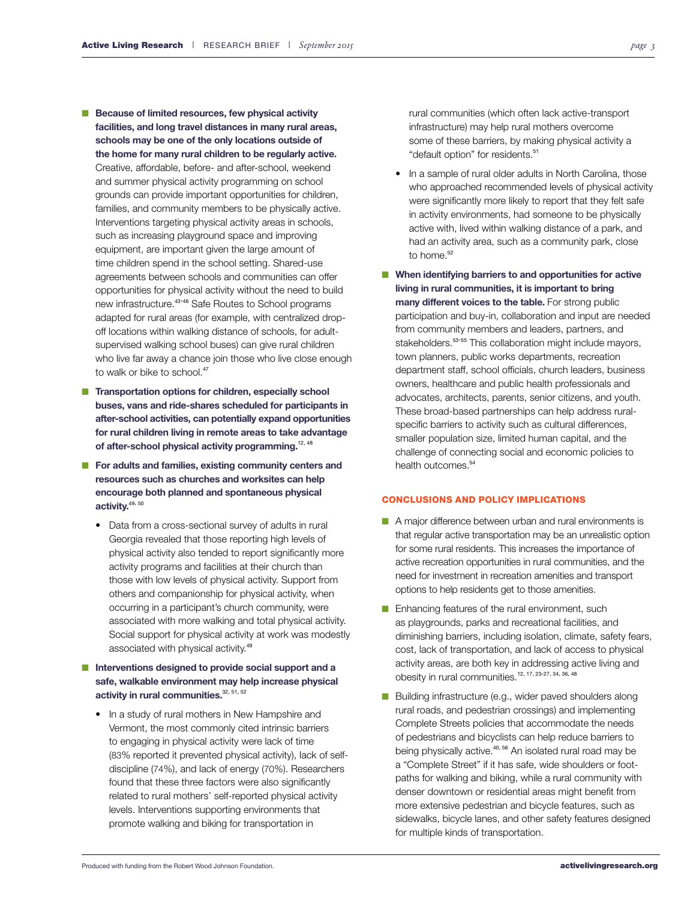- **Because of limited resources, few physical activity facilities, and long travel distances in many rural areas, schools may be one of the only locations outside of the home for many rural children to be regularly active.** Creative, affordable, before- and after-school, weekend and summer physical activity programming on school grounds can provide important opportunities for children, families, and community members to be physically active. Interventions targeting physical activity areas in schools, such as increasing playground space and improving equipment, are important given the large amount of time children spend in the school setting. Shared-use agreements between schools and communities can offer opportunities for physical activity without the need to build new infrastructure.<sup>43-46</sup> Safe Routes to School programs
	- adapted for rural areas (for example, with centralized dropoff locations within walking distance of schools, for adultsupervised walking school buses) can give rural children who live far away a chance join those who live close enough to walk or bike to school.<sup>47</sup>
- **Transportation options for children, especially school buses, vans and ride-shares scheduled for participants in after-school activities, can potentially expand opportunities for rural children living in remote areas to take advantage**  of after-school physical activity programming.<sup>12, 48</sup>
- For adults and families, existing community centers and **resources such as churches and worksites can help encourage both planned and spontaneous physical activity.**49, 50
	- Data from a cross-sectional survey of adults in rural Georgia revealed that those reporting high levels of physical activity also tended to report significantly more activity programs and facilities at their church than those with low levels of physical activity. Support from others and companionship for physical activity, when occurring in a participant's church community, were associated with more walking and total physical activity. Social support for physical activity at work was modestly associated with physical activity.<sup>49</sup>

## ■ **Interventions designed to provide social support and a safe, walkable environment may help increase physical activity in rural communities.**32, 51, 52

• In a study of rural mothers in New Hampshire and Vermont, the most commonly cited intrinsic barriers to engaging in physical activity were lack of time (83% reported it prevented physical activity), lack of selfdiscipline (74%), and lack of energy (70%). Researchers found that these three factors were also significantly related to rural mothers' self-reported physical activity levels. Interventions supporting environments that promote walking and biking for transportation in

rural communities (which often lack active-transport infrastructure) may help rural mothers overcome some of these barriers, by making physical activity a "default option" for residents.<sup>51</sup>

- In a sample of rural older adults in North Carolina, those who approached recommended levels of physical activity were significantly more likely to report that they felt safe in activity environments, had someone to be physically active with, lived within walking distance of a park, and had an activity area, such as a community park, close to home.<sup>52</sup>
- When identifying barriers to and opportunities for active **living in rural communities, it is important to bring many different voices to the table.** For strong public participation and buy-in, collaboration and input are needed from community members and leaders, partners, and stakeholders.<sup>53-55</sup> This collaboration might include mayors, town planners, public works departments, recreation department staff, school officials, church leaders, business owners, healthcare and public health professionals and advocates, architects, parents, senior citizens, and youth. These broad-based partnerships can help address ruralspecific barriers to activity such as cultural differences, smaller population size, limited human capital, and the challenge of connecting social and economic policies to health outcomes.<sup>54</sup>

#### CONCLUSIONS AND POLICY IMPLICATIONS

- A major difference between urban and rural environments is that regular active transportation may be an unrealistic option for some rural residents. This increases the importance of active recreation opportunities in rural communities, and the need for investment in recreation amenities and transport options to help residents get to those amenities.
- Enhancing features of the rural environment, such as playgrounds, parks and recreational facilities, and diminishing barriers, including isolation, climate, safety fears, cost, lack of transportation, and lack of access to physical activity areas, are both key in addressing active living and obesity in rural communities.12, 17, 23-27, 34, 36, 48
- Building infrastructure (e.g., wider paved shoulders along rural roads, and pedestrian crossings) and implementing Complete Streets policies that accommodate the needs of pedestrians and bicyclists can help reduce barriers to being physically active.<sup>40, 56</sup> An isolated rural road may be a "Complete Street" if it has safe, wide shoulders or footpaths for walking and biking, while a rural community with denser downtown or residential areas might benefit from more extensive pedestrian and bicycle features, such as sidewalks, bicycle lanes, and other safety features designed for multiple kinds of transportation.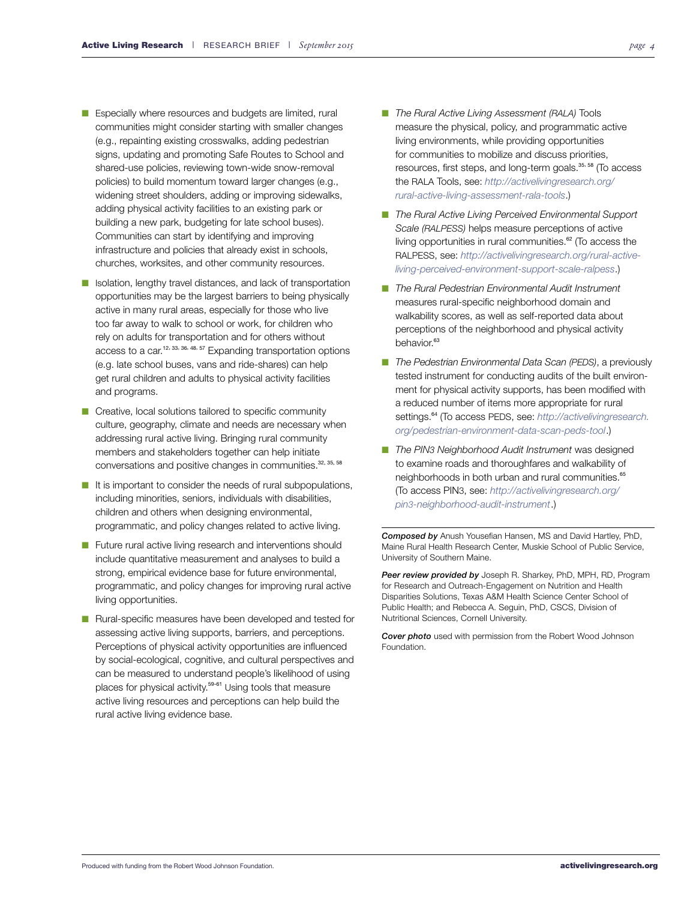- Especially where resources and budgets are limited, rural communities might consider starting with smaller changes (e.g., repainting existing crosswalks, adding pedestrian signs, updating and promoting Safe Routes to School and shared-use policies, reviewing town-wide snow-removal policies) to build momentum toward larger changes (e.g., widening street shoulders, adding or improving sidewalks, adding physical activity facilities to an existing park or building a new park, budgeting for late school buses). Communities can start by identifying and improving infrastructure and policies that already exist in schools, churches, worksites, and other community resources.
- Isolation, lengthy travel distances, and lack of transportation opportunities may be the largest barriers to being physically active in many rural areas, especially for those who live too far away to walk to school or work, for children who rely on adults for transportation and for others without access to a car.<sup>12, 33, 36, 48, 57</sup> Expanding transportation options (e.g. late school buses, vans and ride-shares) can help get rural children and adults to physical activity facilities and programs.
- Creative, local solutions tailored to specific community culture, geography, climate and needs are necessary when addressing rural active living. Bringing rural community members and stakeholders together can help initiate conversations and positive changes in communities.32, 35, 58
- It is important to consider the needs of rural subpopulations, including minorities, seniors, individuals with disabilities, children and others when designing environmental, programmatic, and policy changes related to active living.
- Future rural active living research and interventions should include quantitative measurement and analyses to build a strong, empirical evidence base for future environmental, programmatic, and policy changes for improving rural active living opportunities.
- Rural-specific measures have been developed and tested for assessing active living supports, barriers, and perceptions. Perceptions of physical activity opportunities are influenced by social-ecological, cognitive, and cultural perspectives and can be measured to understand people's likelihood of using places for physical activity.<sup>59-61</sup> Using tools that measure active living resources and perceptions can help build the rural active living evidence base.
- *The Rural Active Living Assessment (RALA)* Tools measure the physical, policy, and programmatic active living environments, while providing opportunities for communities to mobilize and discuss priorities, resources, first steps, and long-term goals.<sup>35, 58</sup> (To access the RALA Tools, see: *[http://activelivingresearch.org/](http://activelivingresearch.org/rural-active-living-assessment-rala-tools) [rural-active-living-assessment-rala-tools](http://activelivingresearch.org/rural-active-living-assessment-rala-tools)*.)
- *The Rural Active Living Perceived Environmental Support Scale (RALPESS)* helps measure perceptions of active living opportunities in rural communities. $62$  (To access the RALPESS, see: *[http://activelivingresearch.org/rural-active](http://activelivingresearch.org/rural-active-living-perceived-environment-support-scale-ralpess)[living-perceived-environment-support-scale-ralpess](http://activelivingresearch.org/rural-active-living-perceived-environment-support-scale-ralpess)*.)
- The Rural Pedestrian Environmental Audit Instrument measures rural-specific neighborhood domain and walkability scores, as well as self-reported data about perceptions of the neighborhood and physical activity behavior.<sup>63</sup>
- *The Pedestrian Environmental Data Scan (PEDS)*, a previously tested instrument for conducting audits of the built environment for physical activity supports, has been modified with a reduced number of items more appropriate for rural settings.<sup>64</sup> (To access PEDS, see: [http://activelivingresearch.](http://activelivingresearch.org/pedestrian-environment-data-scan-peds-tool) *[org/pedestrian-environment-data-scan-peds-tool](http://activelivingresearch.org/pedestrian-environment-data-scan-peds-tool)*.)
- *The PIN3 Neighborhood Audit Instrument* was designed to examine roads and thoroughfares and walkability of neighborhoods in both urban and rural communities.<sup>65</sup> (To access PIN3, see: *[http://activelivingresearch.org/](http://activelivingresearch.org/pin3-neighborhood-audit-instrument) [pin3-neighborhood-audit-instrument](http://activelivingresearch.org/pin3-neighborhood-audit-instrument)*.)

*Composed by* Anush Yousefian Hansen, MS and David Hartley, PhD, Maine Rural Health Research Center, Muskie School of Public Service, University of Southern Maine.

*Peer review provided by* Joseph R. Sharkey, PhD, MPH, RD, Program for Research and Outreach-Engagement on Nutrition and Health Disparities Solutions, Texas A&M Health Science Center School of Public Health; and Rebecca A. Seguin, PhD, CSCS, Division of Nutritional Sciences, Cornell University.

*Cover photo* used with permission from the Robert Wood Johnson Foundation.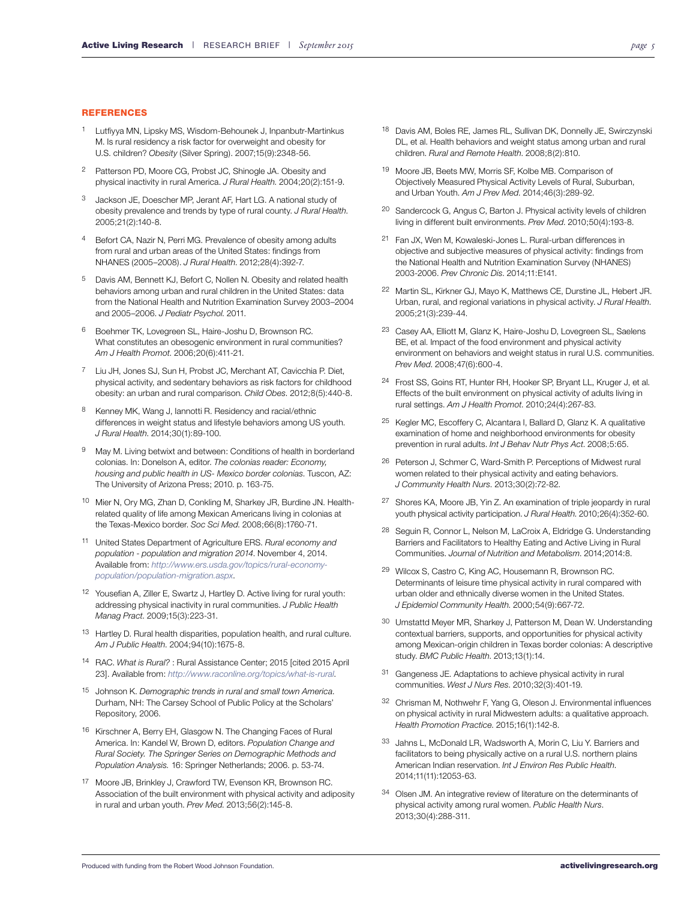#### **REFERENCES**

- 1 Lutfiyya MN, Lipsky MS, Wisdom-Behounek J, Inpanbutr-Martinkus M. Is rural residency a risk factor for overweight and obesity for U.S. children? *Obesity* (Silver Spring). 2007;15(9):2348-56.
- 2 Patterson PD, Moore CG, Probst JC, Shinogle JA. Obesity and physical inactivity in rural America. *J Rural Health*. 2004;20(2):151-9.
- 3 Jackson JE, Doescher MP, Jerant AF, Hart LG. A national study of obesity prevalence and trends by type of rural county. *J Rural Health*. 2005;21(2):140-8.
- Befort CA, Nazir N, Perri MG. Prevalence of obesity among adults from rural and urban areas of the United States: findings from NHANES (2005–2008). *J Rural Health*. 2012;28(4):392-7.
- 5 Davis AM, Bennett KJ, Befort C, Nollen N. Obesity and related health behaviors among urban and rural children in the United States: data from the National Health and Nutrition Examination Survey 2003–2004 and 2005–2006. *J Pediatr Psychol*. 2011.
- 6 Boehmer TK, Lovegreen SL, Haire-Joshu D, Brownson RC. What constitutes an obesogenic environment in rural communities? *Am J Health Promot*. 2006;20(6):411-21.
- 7 Liu JH, Jones SJ, Sun H, Probst JC, Merchant AT, Cavicchia P. Diet, physical activity, and sedentary behaviors as risk factors for childhood obesity: an urban and rural comparison. *Child Obes*. 2012;8(5):440-8.
- 8 Kenney MK, Wang J, Iannotti R. Residency and racial/ethnic differences in weight status and lifestyle behaviors among US youth. *J Rural Health*. 2014;30(1):89-100.
- 9 May M. Living betwixt and between: Conditions of health in borderland colonias. In: Donelson A, editor. *The colonias reader: Economy, housing and public health in US- Mexico border colonias*. Tuscon, AZ: The University of Arizona Press; 2010. p. 163-75.
- 10 Mier N, Ory MG, Zhan D, Conkling M, Sharkey JR, Burdine JN. Healthrelated quality of life among Mexican Americans living in colonias at the Texas-Mexico border. *Soc Sci Med*. 2008;66(8):1760-71.
- 11 United States Department of Agriculture ERS. *Rural economy and population - population and migration 2014*. November 4, 2014. Available from: *[http://www.ers.usda.gov/topics/rural-economy](http://www.ers.usda.gov/topics/rural-economy-population/population-migration.aspx)[population/population-migration.aspx](http://www.ers.usda.gov/topics/rural-economy-population/population-migration.aspx)*.
- 12 Yousefian A, Ziller E, Swartz J, Hartley D. Active living for rural youth: addressing physical inactivity in rural communities. *J Public Health Manag Pract*. 2009;15(3):223-31.
- 13 Hartley D. Rural health disparities, population health, and rural culture. *Am J Public Health*. 2004;94(10):1675-8.
- 14 RAC. *What is Rural?* : Rural Assistance Center; 2015 [cited 2015 April 23]. Available from: *<http://www.raconline.org/topics/what-is-rural>*.
- 15 Johnson K. *Demographic trends in rural and small town America*. Durham, NH: The Carsey School of Public Policy at the Scholars' Repository, 2006.
- 16 Kirschner A, Berry EH, Glasgow N. The Changing Faces of Rural America. In: Kandel W, Brown D, editors. *Population Change and Rural Society. The Springer Series on Demographic Methods and Population Analysis.* 16: Springer Netherlands; 2006. p. 53-74.
- 17 Moore JB, Brinkley J, Crawford TW, Evenson KR, Brownson RC. Association of the built environment with physical activity and adiposity in rural and urban youth. *Prev Med*. 2013;56(2):145-8.
- 18 Davis AM, Boles RE, James RL, Sullivan DK, Donnelly JE, Swirczynski DL, et al. Health behaviors and weight status among urban and rural children. *Rural and Remote Health*. 2008;8(2):810.
- 19 Moore JB, Beets MW, Morris SF, Kolbe MB. Comparison of Objectively Measured Physical Activity Levels of Rural, Suburban, and Urban Youth. *Am J Prev Med*. 2014;46(3):289-92.
- 20 Sandercock G, Angus C, Barton J. Physical activity levels of children living in different built environments. *Prev Med*. 2010;50(4):193-8.
- 21 Fan JX, Wen M, Kowaleski-Jones L. Rural-urban differences in objective and subjective measures of physical activity: findings from the National Health and Nutrition Examination Survey (NHANES) 2003-2006. *Prev Chronic Dis*. 2014;11:E141.
- 22 Martin SL, Kirkner GJ, Mayo K, Matthews CE, Durstine JL, Hebert JR. Urban, rural, and regional variations in physical activity. *J Rural Health*. 2005;21(3):239-44.
- 23 Casey AA, Elliott M, Glanz K, Haire-Joshu D, Lovegreen SL, Saelens BE, et al. Impact of the food environment and physical activity environment on behaviors and weight status in rural U.S. communities. *Prev Med*. 2008;47(6):600-4.
- 24 Frost SS, Goins RT, Hunter RH, Hooker SP, Bryant LL, Kruger J, et al. Effects of the built environment on physical activity of adults living in rural settings. *Am J Health Promot*. 2010;24(4):267-83.
- 25 Kegler MC, Escoffery C, Alcantara I, Ballard D, Glanz K. A qualitative examination of home and neighborhood environments for obesity prevention in rural adults. *Int J Behav Nutr Phys Act*. 2008;5:65.
- 26 Peterson J, Schmer C, Ward-Smith P. Perceptions of Midwest rural women related to their physical activity and eating behaviors. *J Community Health Nurs*. 2013;30(2):72-82.
- 27 Shores KA, Moore JB, Yin Z. An examination of triple jeopardy in rural youth physical activity participation. *J Rural Health*. 2010;26(4):352-60.
- 28 Seguin R, Connor L, Nelson M, LaCroix A, Eldridge G. Understanding Barriers and Facilitators to Healthy Eating and Active Living in Rural Communities. *Journal of Nutrition and Metabolism*. 2014;2014:8.
- 29 Wilcox S, Castro C, King AC, Housemann R, Brownson RC. Determinants of leisure time physical activity in rural compared with urban older and ethnically diverse women in the United States. *J Epidemiol Community Health*. 2000;54(9):667-72.
- 30 Umstattd Meyer MR, Sharkey J, Patterson M, Dean W. Understanding contextual barriers, supports, and opportunities for physical activity among Mexican-origin children in Texas border colonias: A descriptive study. *BMC Public Health*. 2013;13(1):14.
- 31 Gangeness JE. Adaptations to achieve physical activity in rural communities. *West J Nurs Res*. 2010;32(3):401-19.
- 32 Chrisman M, Nothwehr F, Yang G, Oleson J. Environmental influences on physical activity in rural Midwestern adults: a qualitative approach. *Health Promotion Practice*. 2015;16(1):142-8.
- 33 Jahns L, McDonald LR, Wadsworth A, Morin C, Liu Y. Barriers and facilitators to being physically active on a rural U.S. northern plains American Indian reservation. *Int J Environ Res Public Health*. 2014;11(11):12053-63.
- 34 Olsen JM. An integrative review of literature on the determinants of physical activity among rural women. *Public Health Nurs*. 2013;30(4):288-311.